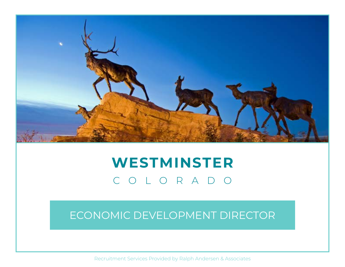

# **WESTMINSTER** COLORADO

# ECONOMIC DEVELOPMENT DIRECTOR

Recruitment Services Provided by Ralph Andersen & Associates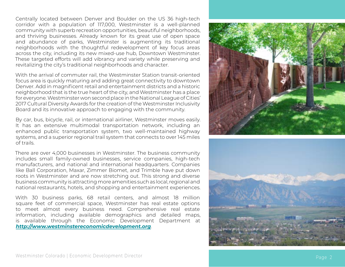Centrally located between Denver and Boulder on the US 36 high-tech corridor with a population of 117,000, Westminster is a well-planned community with superb recreation opportunities, beautiful neighborhoods, and thriving businesses. Already known for its great use of open space and abundance of parks, Westminster is augmenting its traditional neighborhoods with the thoughtful redevelopment of key focus areas across the city, including its new mixed-use hub, Downtown Westminster. These targeted efforts will add vibrancy and variety while preserving and revitalizing the city's traditional neighborhoods and character.

With the arrival of commuter rail, the Westminster Station transit-oriented focus area is quickly maturing and adding great connectivity to downtown Denver. Add in magnificent retail and entertainment districts and a historic neighborhood that is the true heart of the city, and Westminster has a place for everyone. Westminster won second place in the National League of Cities' 2017 Cultural Diversity Awards for the creation of the Westminster Inclusivity Board and its innovative approach to engaging with the community.

By car, bus, bicycle, rail, or international airliner, Westminster moves easily. It has an extensive multimodal transportation network, including an enhanced public transportation system, two well-maintained highway systems, and a superior regional trail system that connects to over 145 miles of trails.

There are over 4,000 businesses in Westminster. The business community includes small family-owned businesses, service companies, high-tech manufacturers, and national and international headquarters. Companies like Ball Corporation, Maxar, Zimmer Biomet, and Trimble have put down roots in Westminster and are now stretching out. This strong and diverse business community is attracting more amenities such as local, regional and national restaurants, hotels, and shopping and entertainment experiences.

With 30 business parks, 68 retail centers, and almost 18 million square feet of commercial space, Westminster has real estate options to meet almost every business need. Comprehensive real estate information, including available demographics and detailed maps, is available through the Economic Development Department at *<http://www.westminstereconomicdevelopment.org>* .



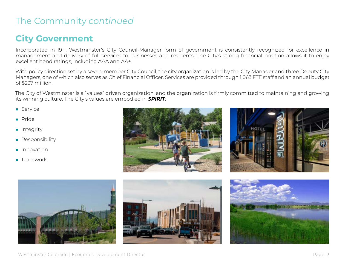# The Community *continued*

## **City Government**

Incorporated in 1911, Westminster's City Council-Manager form of government is consistently recognized for excellence in management and delivery of full services to businesses and residents. The City's strong financial position allows it to enjoy excellent bond ratings, including AAA and AA+.

With policy direction set by a seven-member City Council, the city organization is led by the City Manager and three Deputy City Managers, one of which also serves as Chief Financial Officer. Services are provided through 1,063 FTE staff and an annual budget of \$237 million.

The City of Westminster is a "values" driven organization, and the organization is firmly committed to maintaining and growing its winning culture. The City's values are embodied in *SPIRIT*:

- Service
- Pride
- Integrity
- Responsibility
- Innovation
- Teamwork









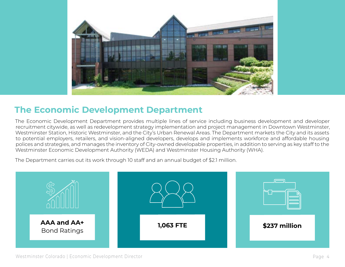

#### **The Economic Development Department**

The Economic Development Department provides multiple lines of service including business development and developer recruitment citywide, as well as redevelopment strategy implementation and project management in Downtown Westminster, Westminster Station, Historic Westminster, and the City's Urban Renewal Areas. The Department markets the City and its assets to potential employers, retailers, and vision-aligned developers, develops and implements workforce and affordable housing polices and strategies, and manages the inventory of City-owned developable properties, in addition to serving as key staff to the Westminster Economic Development Authority (WEDA) and Westminster Housing Authority (WHA).

The Department carries out its work through 10 staff and an annual budget of \$2.1 million.

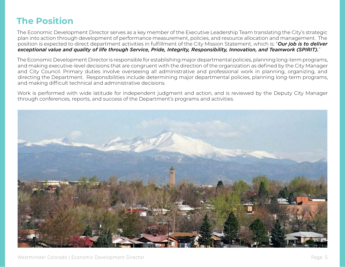# **The Position**

The Economic Development Director serves as a key member of the Executive Leadership Team translating the City's strategic plan into action through development of performance measurement, policies, and resource allocation and management. The position is expected to direct department activities in fulfillment of the City Mission Statement, which is: "*Our job is to deliver exceptional value and quality of life through Service, Pride, Integrity, Responsibility, Innovation, and Teamwork (SPIRIT).*"

The Economic Development Director is responsible for establishing major departmental policies, planning long-term programs, and making executive-level decisions that are congruent with the direction of the organization as defined by the City Manager and City Council. Primary duties involve overseeing all administrative and professional work in planning, organizing, and directing the Department. Responsibilities include determining major departmental policies, planning long-term programs, and making difficult technical and administrative decisions.

Work is performed with wide latitude for independent judgment and action, and is reviewed by the Deputy City Manager through conferences, reports, and success of the Department's programs and activities.

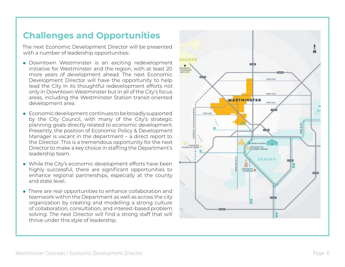#### **Challenges and Opportunities**

The next Economic Development Director will be presented with a number of leadership opportunities:

- Downtown Westminster is an exciting redevelopment initiative for Westminster and the region, with at least 20 more years of development ahead. The next Economic Development Director will have the opportunity to help lead the City in its thoughtful redevelopment efforts not only in Downtown Westminster but in all of the City's focus areas, including the Westminster Station transit-oriented development area.
- Economic development continues to be broadly supported by the City Council, with many of the City's strategic planning goals directly related to economic development. Presently, the position of Economic Policy & Development Manager is vacant in the department – a direct report to the Director. This is a tremendous opportunity for the next Director to make a key choice in staffing the Department's leadership team.
- While the City's economic development efforts have been highly successful, there are significant opportunities to enhance regional partnerships, especially at the county and state level.
- There are real opportunities to enhance collaboration and teamwork within the Department as well as across the city organization by creating and modelling a strong culture of collaboration, consultation, and interest-based problem solving. The next Director will find a strong staff that will thrive under this style of leadership.

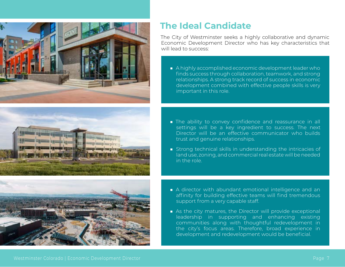





#### **The Ideal Candidate**

The City of Westminster seeks a highly collaborative and dynamic Economic Development Director who has key characteristics that will lead to success:

- A highly accomplished economic development leader who finds success through collaboration, teamwork, and strong relationships. A strong track record of success in economic development combined with effective people skills is very important in this role.
- The ability to convey confidence and reassurance in all settings will be a key ingredient to success. The next Director will be an effective communicator who builds trust and genuine relationships.
- Strong technical skills in understanding the intricacies of land use, zoning, and commercial real estate will be needed in the role.
- A director with abundant emotional intelligence and an affinity for building effective teams will find tremendous support from a very capable staff.
- As the city matures, the Director will provide exceptional leadership in supporting and enhancing existing communities along with thoughtful redevelopment in the city's focus areas. Therefore, broad experience in development and redevelopment would be beneficial.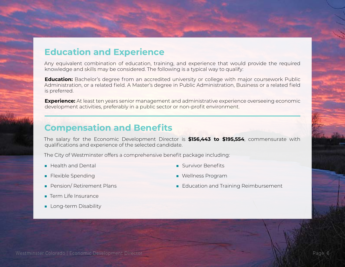#### **Education and Experience**

Any equivalent combination of education, training, and experience that would provide the required knowledge and skills may be considered. The following is a typical way to qualify:

**Education:** Bachelor's degree from an accredited university or college with major coursework Public Administration, or a related field. A Master's degree in Public Administration, Business or a related field is preferred.

**Experience:** At least ten years senior management and administrative experience overseeing economic development activities, preferably in a public sector or non-profit environment.

#### **Compensation and Benefits**

The salary for the Economic Development Director is **\$156,443 to \$195,554**, commensurate with qualifications and experience of the selected candidate.

The City of Westminster offers a comprehensive benefit package including:

■ Health and Dental

■ Survivor Benefits

■ Flexible Spending

■ Wellness Program

■ Pension/ Retirement Plans

■ Education and Training Reimbursement

- Term Life Insurance
- Long-term Disability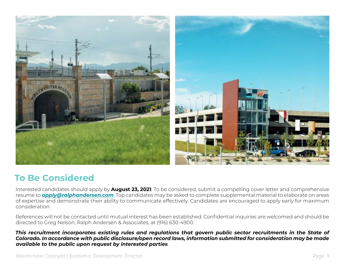

## **To Be Considered**

Interested candidates should apply by **August 23, 2021**. To be considered, submit a compelling cover letter and comprehensive resume to *[apply@ralphandersen.com](mailto:apply@ralphandersen.com)*. Top candidates may be asked to complete supplemental material to elaborate on areas of expertise and demonstrate their ability to communicate effectively. Candidates are encouraged to apply early for maximum consideration.

References will not be contacted until mutual interest has been established. Confidential inquiries are welcomed and should be directed to Greg Nelson, Ralph Andersen & Associates, at (916) 630-4900.

*This recruitment incorporates existing rules and regulations that govern public sector recruitments in the State of Colorado. In accordance with public disclosure/open record laws, information submitted for consideration may be made available to the public upon request by interested parties*.